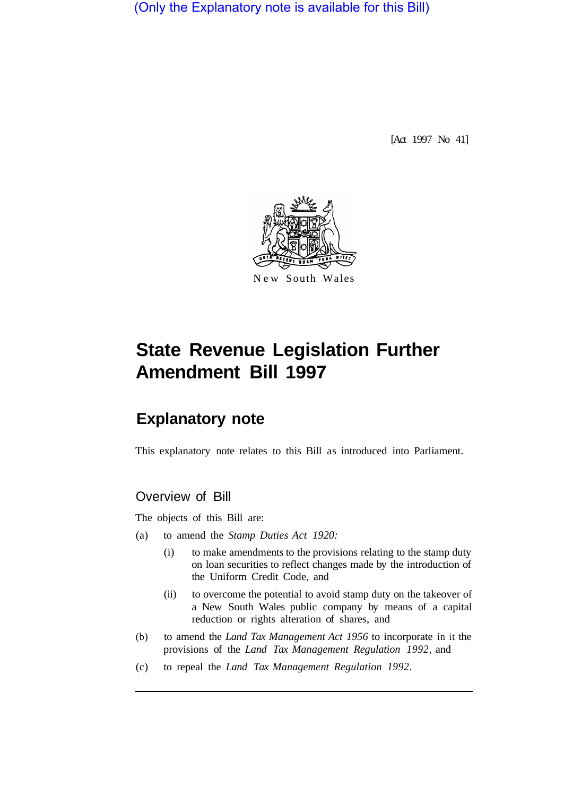(Only the Explanatory note is available for this Bill)

[Act 1997 No 41]



# **State Revenue Legislation Further Amendment Bill 1997**

# **Explanatory note**

This explanatory note relates to this Bill as introduced into Parliament.

## Overview of Bill

The objects of this Bill are:

- (a) to amend the *Stamp Duties Act 1920:* 
	- (i) to make amendments to the provisions relating to the stamp duty on loan securities to reflect changes made by the introduction of the Uniform Credit Code, and
	- (ii) to overcome the potential to avoid stamp duty on the takeover of a New South Wales public company by means of a capital reduction or rights alteration of shares, and
- (b) to amend the *Land Tax Management Act 1956* to incorporate in it the provisions of the *Land Tax Management Regulation 1992,* and
- (c) to repeal the *Land Tax Management Regulation 1992.*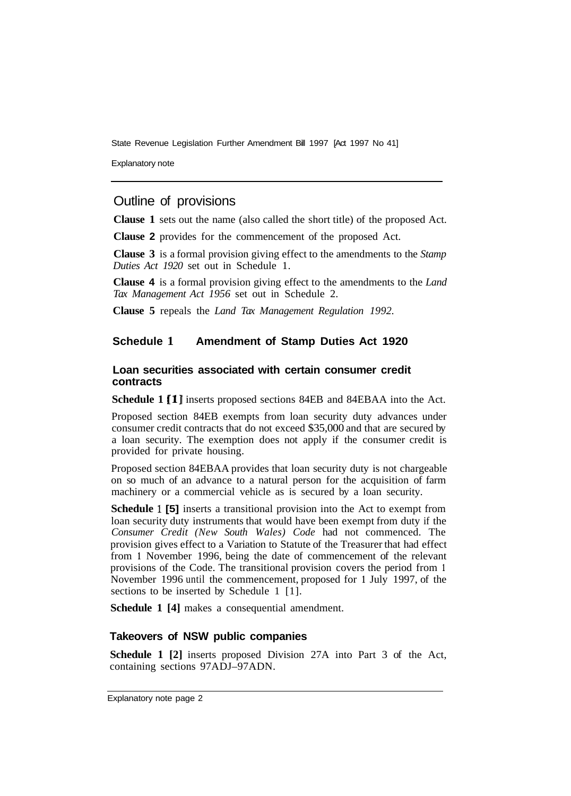State Revenue Legislation Further Amendment Bill 1997 [Act 1997 No 41]

Explanatory note

### Outline of provisions

**Clause 1** sets out the name (also called the short title) of the proposed Act.

**Clause 2** provides for the commencement of the proposed Act.

**Clause 3** is a formal provision giving effect to the amendments to the *Stamp Duties Act 1920* set out in Schedule 1.

**Clause 4** is a formal provision giving effect to the amendments to the *Land Tax Management Act 1956* set out in Schedule 2.

**Clause 5** repeals the *Land Tax Management Regulation 1992.* 

#### **Schedule 1 Amendment of Stamp Duties Act 1920**

#### **Loan securities associated with certain consumer credit contracts**

**Schedule 1 [l]** inserts proposed sections 84EB and 84EBAA into the Act.

Proposed section 84EB exempts from loan security duty advances under consumer credit contracts that do not exceed \$35,000 and that are secured by a loan security. The exemption does not apply if the consumer credit is provided for private housing.

Proposed section 84EBAA provides that loan security duty is not chargeable on so much of an advance to a natural person for the acquisition of farm machinery or a commercial vehicle as is secured by a loan security.

**Schedule 1 [5]** inserts a transitional provision into the Act to exempt from loan security duty instruments that would have been exempt from duty if the *Consumer Credit (New South Wales) Code* had not commenced. The provision gives effect to a Variation to Statute of the Treasurer that had effect from **1** November 1996, being the date of commencement of the relevant provisions of the Code. The transitional provision covers the period from **<sup>1</sup>** November 1996 until the commencement, proposed for **1** July 1997, of the sections to be inserted by Schedule 1 [1].

**Schedule 1 [4]** makes a consequential amendment.

#### **Takeovers of NSW public companies**

**Schedule 1 [2]** inserts proposed Division 27A into Part 3 of the Act, containing sections 97ADJ–97ADN.